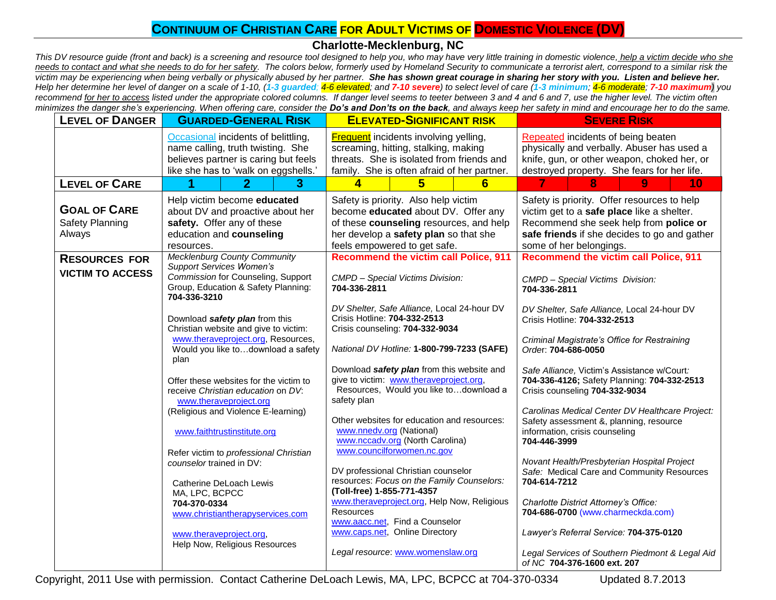# **CONTINUUM OF CHRISTIAN CARE FOR ADULT VICTIMS OF <b>DOMESTIC VIOLENCE** (DV)

## **Charlotte-Mecklenburg, NC**

*This DV resource guide (front and back) is a screening and resource tool designed to help you, who may have very little training in domestic violence, help a victim decide who she needs to contact and what she needs to do for her safety. The colors below, formerly used by Homeland Security to communicate a terrorist alert, correspond to a similar risk the victim may be experiencing when being verbally or physically abused by her partner. She has shown great courage in sharing her story with you. Listen and believe her.*  Help her determine her level of danger on a scale of 1-10, (1-3 guarded; 4-6 elevated; and 7-10 severe) to select level of care (1-3 minimum; 4-6 moderate; 7-10 maximum) you *recommend for her to access listed under the appropriate colored columns. If danger level seems to teeter between 3 and 4 and 6 and 7, use the higher level. The victim often minimizes the danger she's experiencing. When offering care, consider the Do's and Don'ts on the back, and always keep her safety in mind and encourage her to do the same.*

| <b>LEVEL OF DANGER</b>                           | <b>GUARDED-GENERAL RISK</b>                                                                                                                              | <b>ELEVATED-SIGNIFICANT RISK</b>                                                                                                                                                                | <b>SEVERE RISK</b>                                                                                                                                                                                             |
|--------------------------------------------------|----------------------------------------------------------------------------------------------------------------------------------------------------------|-------------------------------------------------------------------------------------------------------------------------------------------------------------------------------------------------|----------------------------------------------------------------------------------------------------------------------------------------------------------------------------------------------------------------|
|                                                  | Occasional incidents of belittling,<br>name calling, truth twisting. She<br>believes partner is caring but feels<br>like she has to 'walk on eggshells.' | <b>Frequent</b> incidents involving yelling,<br>screaming, hitting, stalking, making<br>threats. She is isolated from friends and<br>family. She is often afraid of her partner.                | Repeated incidents of being beaten<br>physically and verbally. Abuser has used a<br>knife, gun, or other weapon, choked her, or<br>destroyed property. She fears for her life.                                 |
| <b>LEVEL OF CARE</b>                             | $\mathbf{2}$<br>3                                                                                                                                        | 5<br>4<br>6                                                                                                                                                                                     | 10<br>8<br>9.                                                                                                                                                                                                  |
| <b>GOAL OF CARE</b><br>Safety Planning<br>Always | Help victim become educated<br>about DV and proactive about her<br>safety. Offer any of these<br>education and counseling<br>resources.                  | Safety is priority. Also help victim<br>become educated about DV. Offer any<br>of these counseling resources, and help<br>her develop a safety plan so that she<br>feels empowered to get safe. | Safety is priority. Offer resources to help<br>victim get to a safe place like a shelter.<br>Recommend she seek help from police or<br>safe friends if she decides to go and gather<br>some of her belongings. |
| <b>RESOURCES FOR</b>                             | <b>Mecklenburg County Community</b><br><b>Support Services Women's</b>                                                                                   | <b>Recommend the victim call Police, 911</b>                                                                                                                                                    | <b>Recommend the victim call Police, 911</b>                                                                                                                                                                   |
| <b>VICTIM TO ACCESS</b>                          | Commission for Counseling, Support<br>Group, Education & Safety Planning:<br>704-336-3210                                                                | CMPD - Special Victims Division:<br>704-336-2811                                                                                                                                                | CMPD - Special Victims Division:<br>704-336-2811                                                                                                                                                               |
|                                                  | Download safety plan from this<br>Christian website and give to victim:                                                                                  | DV Shelter, Safe Alliance, Local 24-hour DV<br>Crisis Hotline: 704-332-2513<br>Crisis counseling: 704-332-9034                                                                                  | DV Shelter, Safe Alliance, Local 24-hour DV<br>Crisis Hotline: 704-332-2513                                                                                                                                    |
|                                                  | www.theraveproject.org, Resources,<br>Would you like todownload a safety<br>plan                                                                         | National DV Hotline: 1-800-799-7233 (SAFE)                                                                                                                                                      | Criminal Magistrate's Office for Restraining<br>Order: 704-686-0050                                                                                                                                            |
|                                                  | Offer these websites for the victim to<br>receive Christian education on DV:<br>www.theraveproject.org                                                   | Download safety plan from this website and<br>give to victim: www.theraveproject.org,<br>Resources, Would you like todownload a<br>safety plan                                                  | Safe Alliance, Victim's Assistance w/Court:<br>704-336-4126; Safety Planning: 704-332-2513<br>Crisis counseling 704-332-9034                                                                                   |
|                                                  | (Religious and Violence E-learning)<br>www.faithtrustinstitute.org                                                                                       | Other websites for education and resources:<br>www.nnedv.org (National)<br>www.nccadv.org (North Carolina)                                                                                      | Carolinas Medical Center DV Healthcare Project:<br>Safety assessment &, planning, resource<br>information, crisis counseling<br>704-446-3999                                                                   |
|                                                  | Refer victim to professional Christian<br>counselor trained in DV:                                                                                       | www.councilforwomen.nc.gov<br>DV professional Christian counselor<br>resources: Focus on the Family Counselors:                                                                                 | Novant Health/Presbyterian Hospital Project<br>Safe: Medical Care and Community Resources                                                                                                                      |
|                                                  | Catherine DeLoach Lewis<br>MA, LPC, BCPCC<br>704-370-0334<br>www.christiantherapyservices.com                                                            | (Toll-free) 1-855-771-4357<br>www.theraveproject.org, Help Now, Religious<br><b>Resources</b><br>www.aacc.net, Find a Counselor                                                                 | 704-614-7212<br>Charlotte District Attorney's Office:<br>704-686-0700 (www.charmeckda.com)                                                                                                                     |
|                                                  | www.theraveproject.org,<br>Help Now, Religious Resources                                                                                                 | www.caps.net, Online Directory<br>Legal resource: www.womenslaw.org                                                                                                                             | Lawyer's Referral Service: 704-375-0120<br>Legal Services of Southern Piedmont & Legal Aid                                                                                                                     |
|                                                  |                                                                                                                                                          |                                                                                                                                                                                                 | of NC 704-376-1600 ext. 207                                                                                                                                                                                    |

Copyright, 2011 Use with permission. Contact Catherine DeLoach Lewis, MA, LPC, BCPCC at 704-370-0334 Updated 8.7.2013